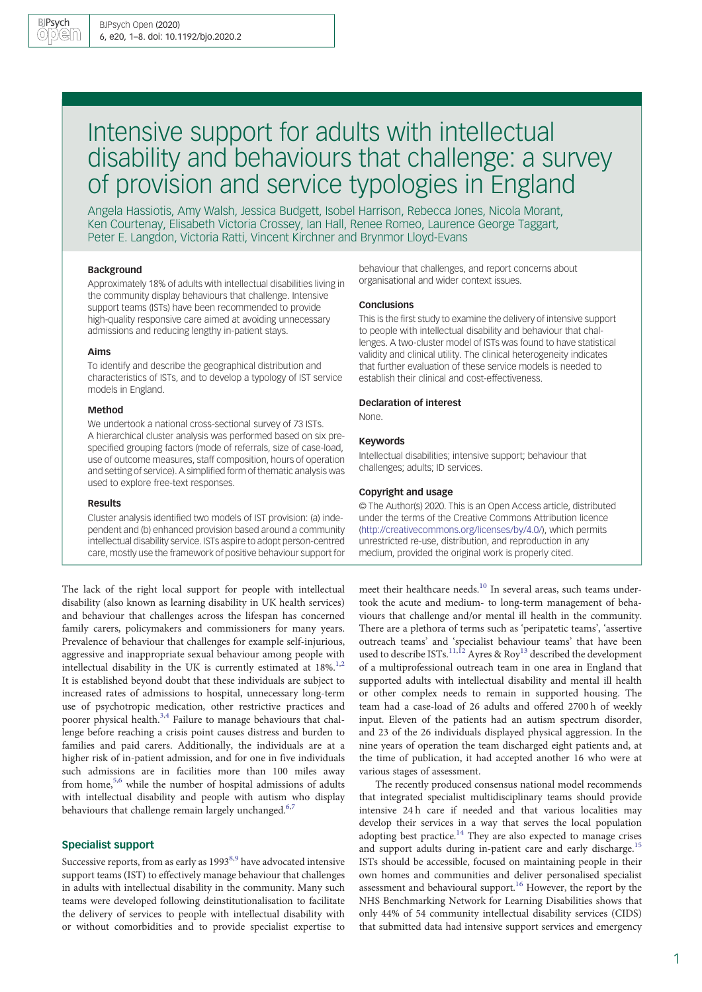# Intensive support for adults with intellectual disability and behaviours that challenge: a survey of provision and service typologies in England

Angela Hassiotis, Amy Walsh, Jessica Budgett, Isobel Harrison, Rebecca Jones, Nicola Morant, Ken Courtenay, Elisabeth Victoria Crossey, Ian Hall, Renee Romeo, Laurence George Taggart, Peter E. Langdon, Victoria Ratti, Vincent Kirchner and Brynmor Lloyd-Evans

#### Background

Approximately 18% of adults with intellectual disabilities living in the community display behaviours that challenge. Intensive support teams (ISTs) have been recommended to provide high-quality responsive care aimed at avoiding unnecessary admissions and reducing lengthy in-patient stays.

## Aims

To identify and describe the geographical distribution and characteristics of ISTs, and to develop a typology of IST service models in England.

## Method

We undertook a national cross-sectional survey of 73 ISTs. A hierarchical cluster analysis was performed based on six prespecified grouping factors (mode of referrals, size of case-load, use of outcome measures, staff composition, hours of operation and setting of service). A simplified form of thematic analysis was used to explore free-text responses.

#### Results

Cluster analysis identified two models of IST provision: (a) independent and (b) enhanced provision based around a community intellectual disability service. ISTs aspire to adopt person-centred care, mostly use the framework of positive behaviour support for

The lack of the right local support for people with intellectual disability (also known as learning disability in UK health services) and behaviour that challenges across the lifespan has concerned family carers, policymakers and commissioners for many years. Prevalence of behaviour that challenges for example self-injurious, aggressive and inappropriate sexual behaviour among people with intellectual disability in the UK is currently estimated at 18%.<sup>[1,2](#page-6-0)</sup> It is established beyond doubt that these individuals are subject to increased rates of admissions to hospital, unnecessary long-term use of psychotropic medication, other restrictive practices and poorer physical health.<sup>[3,4](#page-6-0)</sup> Failure to manage behaviours that challenge before reaching a crisis point causes distress and burden to families and paid carers. Additionally, the individuals are at a higher risk of in-patient admission, and for one in five individuals such admissions are in facilities more than 100 miles away from home,<sup>[5,6](#page-6-0)</sup> while the number of hospital admissions of adults with intellectual disability and people with autism who display behaviours that challenge remain largely unchanged.<sup>6,7</sup>

## Specialist support

Successive reports, from as early as 1993<sup>8,9</sup> have advocated intensive support teams (IST) to effectively manage behaviour that challenges in adults with intellectual disability in the community. Many such teams were developed following deinstitutionalisation to facilitate the delivery of services to people with intellectual disability with or without comorbidities and to provide specialist expertise to

behaviour that challenges, and report concerns about organisational and wider context issues.

## Conclusions

This is the first study to examine the delivery of intensive support to people with intellectual disability and behaviour that challenges. A two-cluster model of ISTs was found to have statistical validity and clinical utility. The clinical heterogeneity indicates that further evaluation of these service models is needed to establish their clinical and cost-effectiveness.

#### Declaration of interest

None.

## Keywords

Intellectual disabilities; intensive support; behaviour that challenges; adults; ID services.

#### Copyright and usage

© The Author(s) 2020. This is an Open Access article, distributed under the terms of the Creative Commons Attribution licence [\(http://creativecommons.org/licenses/by/4.0/\)](http://creativecommons.org/licenses/by/4.0/), which permits unrestricted re-use, distribution, and reproduction in any medium, provided the original work is properly cited.

meet their healthcare needs.<sup>[10](#page-6-0)</sup> In several areas, such teams undertook the acute and medium- to long-term management of behaviours that challenge and/or mental ill health in the community. There are a plethora of terms such as 'peripatetic teams', 'assertive outreach teams' and 'specialist behaviour teams' that have been used to describe ISTs.<sup>[11](#page-6-0),[12](#page-6-0)</sup> Ayres & Roy<sup>13</sup> described the development of a multiprofessional outreach team in one area in England that supported adults with intellectual disability and mental ill health or other complex needs to remain in supported housing. The team had a case-load of 26 adults and offered 2700 h of weekly input. Eleven of the patients had an autism spectrum disorder, and 23 of the 26 individuals displayed physical aggression. In the nine years of operation the team discharged eight patients and, at the time of publication, it had accepted another 16 who were at various stages of assessment.

The recently produced consensus national model recommends that integrated specialist multidisciplinary teams should provide intensive 24 h care if needed and that various localities may develop their services in a way that serves the local population adopting best practice.<sup>[14](#page-6-0)</sup> They are also expected to manage crises and support adults during in-patient care and early discharge.<sup>[15](#page-6-0)</sup> ISTs should be accessible, focused on maintaining people in their own homes and communities and deliver personalised specialist assessment and behavioural support.<sup>[16](#page-6-0)</sup> However, the report by the NHS Benchmarking Network for Learning Disabilities shows that only 44% of 54 community intellectual disability services (CIDS) that submitted data had intensive support services and emergency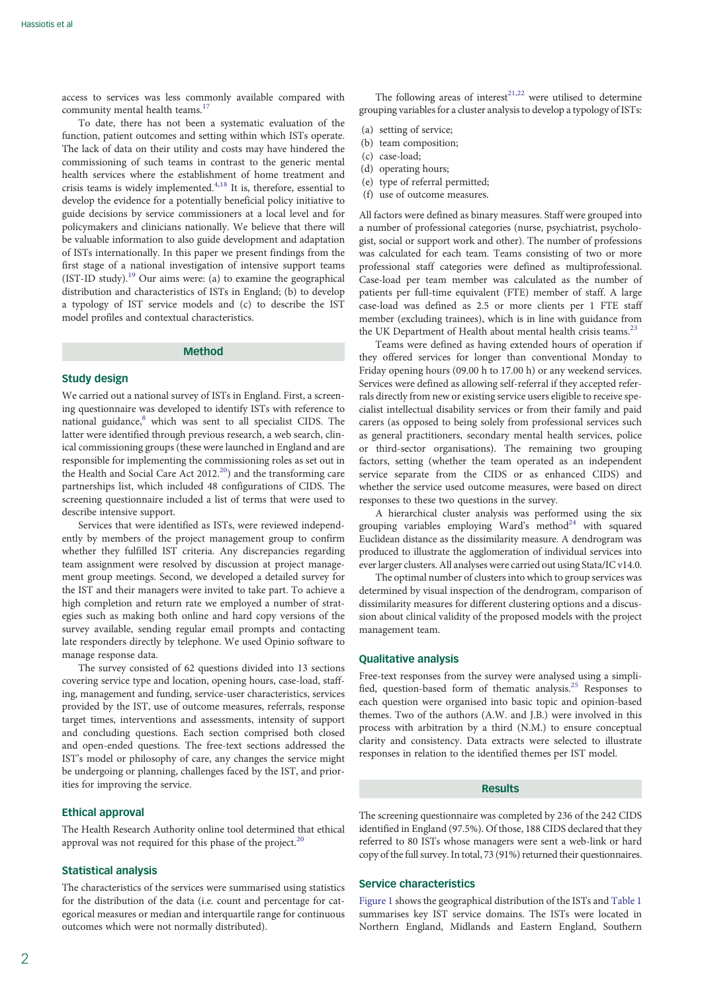access to services was less commonly available compared with community mental health teams.<sup>[17](#page-6-0)</sup>

To date, there has not been a systematic evaluation of the function, patient outcomes and setting within which ISTs operate. The lack of data on their utility and costs may have hindered the commissioning of such teams in contrast to the generic mental health services where the establishment of home treatment and crisis teams is widely implemented.<sup>[4,18](#page-6-0)</sup> It is, therefore, essential to develop the evidence for a potentially beneficial policy initiative to guide decisions by service commissioners at a local level and for policymakers and clinicians nationally. We believe that there will be valuable information to also guide development and adaptation of ISTs internationally. In this paper we present findings from the first stage of a national investigation of intensive support teams (IST-ID study).[19](#page-6-0) Our aims were: (a) to examine the geographical distribution and characteristics of ISTs in England; (b) to develop a typology of IST service models and (c) to describe the IST model profiles and contextual characteristics.

## Method

## Study design

We carried out a national survey of ISTs in England. First, a screening questionnaire was developed to identify ISTs with reference to national guidance,<sup>[8](#page-6-0)</sup> which was sent to all specialist CIDS. The latter were identified through previous research, a web search, clinical commissioning groups (these were launched in England and are responsible for implementing the commissioning roles as set out in the Health and Social Care Act  $2012<sup>20</sup>$  and the transforming care partnerships list, which included 48 configurations of CIDS. The screening questionnaire included a list of terms that were used to describe intensive support.

Services that were identified as ISTs, were reviewed independently by members of the project management group to confirm whether they fulfilled IST criteria. Any discrepancies regarding team assignment were resolved by discussion at project management group meetings. Second, we developed a detailed survey for the IST and their managers were invited to take part. To achieve a high completion and return rate we employed a number of strategies such as making both online and hard copy versions of the survey available, sending regular email prompts and contacting late responders directly by telephone. We used Opinio software to manage response data.

The survey consisted of 62 questions divided into 13 sections covering service type and location, opening hours, case-load, staffing, management and funding, service-user characteristics, services provided by the IST, use of outcome measures, referrals, response target times, interventions and assessments, intensity of support and concluding questions. Each section comprised both closed and open-ended questions. The free-text sections addressed the IST's model or philosophy of care, any changes the service might be undergoing or planning, challenges faced by the IST, and priorities for improving the service.

## Ethical approval

The Health Research Authority online tool determined that ethical approval was not required for this phase of the project. $20$ 

## Statistical analysis

The characteristics of the services were summarised using statistics for the distribution of the data (i.e. count and percentage for categorical measures or median and interquartile range for continuous outcomes which were not normally distributed).

The following areas of interest<sup>[21](#page-6-0),[22](#page-6-0)</sup> were utilised to determine grouping variables for a cluster analysis to develop a typology of ISTs:

- (a) setting of service;
- (b) team composition;
- (c) case-load;
- (d) operating hours;
- (e) type of referral permitted; (f) use of outcome measures.
- 

All factors were defined as binary measures. Staff were grouped into a number of professional categories (nurse, psychiatrist, psychologist, social or support work and other). The number of professions was calculated for each team. Teams consisting of two or more professional staff categories were defined as multiprofessional. Case-load per team member was calculated as the number of patients per full-time equivalent (FTE) member of staff. A large case-load was defined as 2.5 or more clients per 1 FTE staff member (excluding trainees), which is in line with guidance from the UK Department of Health about mental health crisis teams.<sup>23</sup>

Teams were defined as having extended hours of operation if they offered services for longer than conventional Monday to Friday opening hours (09.00 h to 17.00 h) or any weekend services. Services were defined as allowing self-referral if they accepted referrals directly from new or existing service users eligible to receive specialist intellectual disability services or from their family and paid carers (as opposed to being solely from professional services such as general practitioners, secondary mental health services, police or third-sector organisations). The remaining two grouping factors, setting (whether the team operated as an independent service separate from the CIDS or as enhanced CIDS) and whether the service used outcome measures, were based on direct responses to these two questions in the survey.

A hierarchical cluster analysis was performed using the six grouping variables employing Ward's method<sup>24</sup> with squared Euclidean distance as the dissimilarity measure. A dendrogram was produced to illustrate the agglomeration of individual services into ever larger clusters. All analyses were carried out using Stata/IC v14.0.

The optimal number of clusters into which to group services was determined by visual inspection of the dendrogram, comparison of dissimilarity measures for different clustering options and a discussion about clinical validity of the proposed models with the project management team.

## Qualitative analysis

Free-text responses from the survey were analysed using a simpli-fied, question-based form of thematic analysis.<sup>[25](#page-6-0)</sup> Responses to each question were organised into basic topic and opinion-based themes. Two of the authors (A.W. and J.B.) were involved in this process with arbitration by a third (N.M.) to ensure conceptual clarity and consistency. Data extracts were selected to illustrate responses in relation to the identified themes per IST model.

## Results

The screening questionnaire was completed by 236 of the 242 CIDS identified in England (97.5%). Of those, 188 CIDS declared that they referred to 80 ISTs whose managers were sent a web-link or hard copy of the full survey. In total, 73 (91%) returned their questionnaires.

## Service characteristics

[Figure 1](#page-2-0) shows the geographical distribution of the ISTs and [Table 1](#page-3-0) summarises key IST service domains. The ISTs were located in Northern England, Midlands and Eastern England, Southern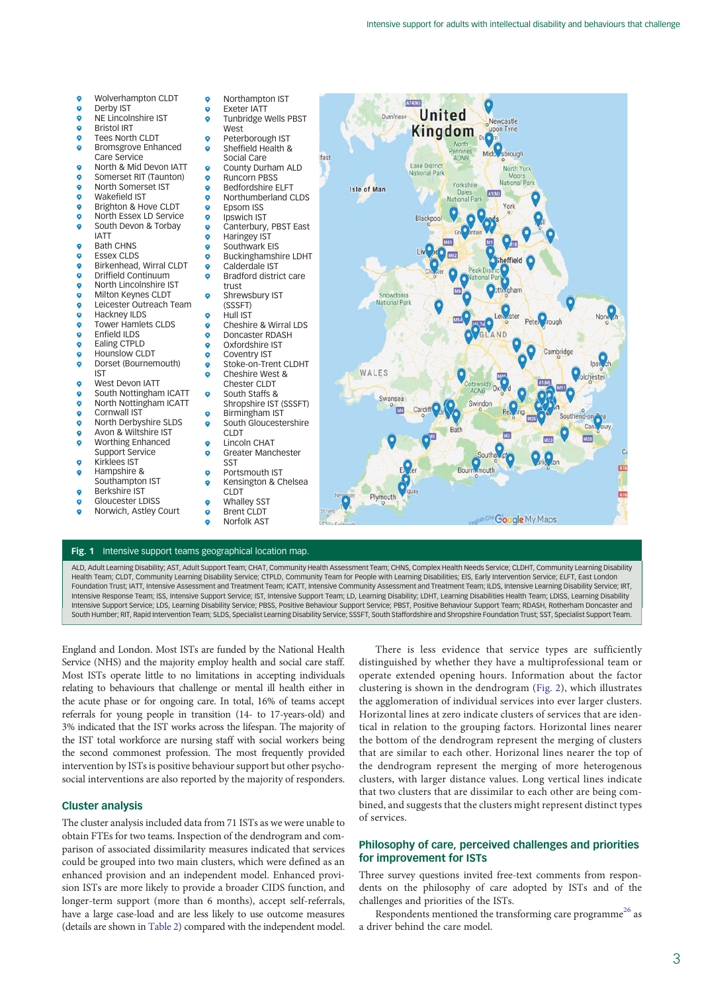<span id="page-2-0"></span>

ALD, Adult Learning Disability; AST, Adult Support Team; CHAT, Community Health Assessment Team; CHNS, Complex Health Needs Service; CLDHT, Community Learning Disability Health Team; CLDT, Community Learning Disability Service; CTPLD, Community Team for People with Learning Disabilities; EIS, Early Intervention Service; ELFT, East London Foundation Trust; IATT, Intensive Assessment and Treatment Team; ICATT, Intensive Community Assessment and Treatment Team; ILDS, Intensive Learning Disability Service; IRT, Intensive Response Team; ISS, Intensive Support Service; IST, Intensive Support Team; LD, Learning Disability; LDHT, Learning Disabilities Health Team; LDISS, Learning Disability Intensive Support Service; LDS, Learning Disability Service; PBSS, Positive Behaviour Support Service; PBST, Positive Behaviour Support Team; RDASH, Rotherham Doncaster and South Humber; RIT, Rapid Intervention Team; SLDS, Specialist Learning Disability Service; SSSFT, South Staffordshire and Shropshire Foundation Trust; SST, Specialist Support Team.

England and London. Most ISTs are funded by the National Health Service (NHS) and the majority employ health and social care staff. Most ISTs operate little to no limitations in accepting individuals relating to behaviours that challenge or mental ill health either in the acute phase or for ongoing care. In total, 16% of teams accept referrals for young people in transition (14- to 17-years-old) and 3% indicated that the IST works across the lifespan. The majority of the IST total workforce are nursing staff with social workers being the second commonest profession. The most frequently provided intervention by ISTs is positive behaviour support but other psychosocial interventions are also reported by the majority of responders.

# Cluster analysis

The cluster analysis included data from 71 ISTs as we were unable to obtain FTEs for two teams. Inspection of the dendrogram and comparison of associated dissimilarity measures indicated that services could be grouped into two main clusters, which were defined as an enhanced provision and an independent model. Enhanced provision ISTs are more likely to provide a broader CIDS function, and longer-term support (more than 6 months), accept self-referrals, have a large case-load and are less likely to use outcome measures (details are shown in [Table 2](#page-4-0)) compared with the independent model.

There is less evidence that service types are sufficiently distinguished by whether they have a multiprofessional team or operate extended opening hours. Information about the factor clustering is shown in the dendrogram ([Fig. 2\)](#page-4-0), which illustrates the agglomeration of individual services into ever larger clusters. Horizontal lines at zero indicate clusters of services that are identical in relation to the grouping factors. Horizontal lines nearer the bottom of the dendrogram represent the merging of clusters that are similar to each other. Horizonal lines nearer the top of the dendrogram represent the merging of more heterogenous clusters, with larger distance values. Long vertical lines indicate that two clusters that are dissimilar to each other are being combined, and suggests that the clusters might represent distinct types of services.

# Philosophy of care, perceived challenges and priorities for improvement for ISTs

Three survey questions invited free-text comments from respondents on the philosophy of care adopted by ISTs and of the challenges and priorities of the ISTs.

Respondents mentioned the transforming care programme<sup>[26](#page-6-0)</sup> as a driver behind the care model.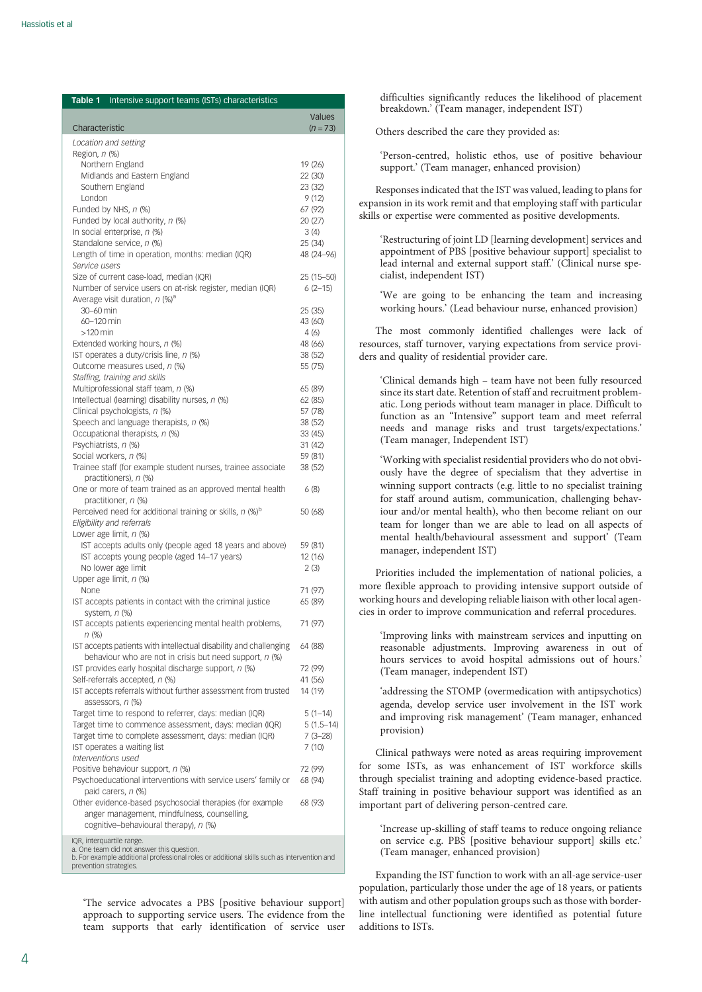<span id="page-3-0"></span>

| Table 1<br>Intensive support teams (ISTs) characteristics                                                        |                           |
|------------------------------------------------------------------------------------------------------------------|---------------------------|
| Characteristic                                                                                                   | Values<br>$(n=73)$        |
| Location and setting                                                                                             |                           |
| Region, n (%)                                                                                                    |                           |
| Northern England                                                                                                 | 19 (26)                   |
| Midlands and Eastern England                                                                                     | 22 (30)                   |
| Southern England<br>London                                                                                       | 23 (32)<br>9(12)          |
| Funded by NHS, n (%)                                                                                             | 67 (92)                   |
| Funded by local authority, n (%)                                                                                 | 20(27)                    |
| In social enterprise, n (%)                                                                                      | 3(4)                      |
| Standalone service, n (%)                                                                                        | 25 (34)                   |
| Length of time in operation, months: median (IQR)                                                                | 48 (24-96)                |
| Service users                                                                                                    |                           |
| Size of current case-load, median (IQR)<br>Number of service users on at-risk register, median (IQR)             | 25 (15 - 50)<br>$6(2-15)$ |
| Average visit duration, n (%) <sup>a</sup>                                                                       |                           |
| 30-60 min                                                                                                        | 25 (35)                   |
| 60-120 min                                                                                                       | 43 (60)                   |
| $>120$ min                                                                                                       | 4(6)                      |
| Extended working hours, n (%)                                                                                    | 48 (66)                   |
| IST operates a duty/crisis line, n (%)                                                                           | 38 (52)                   |
| Outcome measures used, n (%)<br>Staffing, training and skills                                                    | 55 (75)                   |
| Multiprofessional staff team, n (%)                                                                              | 65 (89)                   |
| Intellectual (learning) disability nurses, n (%)                                                                 | 62 (85)                   |
| Clinical psychologists, n (%)                                                                                    | 57 (78)                   |
| Speech and language therapists, n (%)                                                                            | 38 (52)                   |
| Occupational therapists, n (%)                                                                                   | 33 (45)                   |
| Psychiatrists, n (%)                                                                                             | 31 (42)                   |
| Social workers, n (%)<br>Trainee staff (for example student nurses, trainee associate                            | 59 (81)<br>38 (52)        |
| practitioners), n (%)                                                                                            |                           |
| One or more of team trained as an approved mental health                                                         | 6(8)                      |
| practitioner, n (%)                                                                                              |                           |
| Perceived need for additional training or skills, $n$ (%) <sup>b</sup>                                           | 50 (68)                   |
| Eligibility and referrals                                                                                        |                           |
| Lower age limit, n (%)                                                                                           |                           |
| IST accepts adults only (people aged 18 years and above)<br>IST accepts young people (aged 14-17 years)          | 59 (81)<br>12 (16)        |
| No lower age limit                                                                                               | 2(3)                      |
| Upper age limit, n (%)                                                                                           |                           |
| None                                                                                                             | 71 (97)                   |
| IST accepts patients in contact with the criminal justice                                                        | 65 (89)                   |
| system, n (%)                                                                                                    |                           |
| IST accepts patients experiencing mental health problems,                                                        | 71 (97)                   |
| $n$ (%)<br>IST accepts patients with intellectual disability and challenging                                     | 64 (88)                   |
| behaviour who are not in crisis but need support, $n$ (%)                                                        |                           |
| IST provides early hospital discharge support, n (%)                                                             | 72 (99)                   |
| Self-referrals accepted, n (%)                                                                                   | 41 (56)                   |
| IST accepts referrals without further assessment from trusted                                                    | 14 (19)                   |
| assessors, n (%)                                                                                                 |                           |
| Target time to respond to referrer, days: median (IQR)                                                           | $5(1-14)$                 |
| Target time to commence assessment, days: median (IQR)<br>Target time to complete assessment, days: median (IQR) | $5(1.5-14)$               |
| IST operates a waiting list                                                                                      | $7(3-28)$<br>7 (10)       |
| Interventions used                                                                                               |                           |
| Positive behaviour support, n (%)                                                                                | 72 (99)                   |
| Psychoeducational interventions with service users' family or                                                    | 68 (94)                   |
| paid carers, n (%)                                                                                               |                           |
| Other evidence-based psychosocial therapies (for example                                                         | 68 (93)                   |
| anger management, mindfulness, counselling,<br>cognitive-behavioural therapy), n (%)                             |                           |
|                                                                                                                  |                           |
| IQR, interquartile range.<br>a. One team did not answer this question.                                           |                           |
| b. For example additional professional roles or additional skills such as intervention and                       |                           |
| prevention strategies.                                                                                           |                           |

'The service advocates a PBS [positive behaviour support] approach to supporting service users. The evidence from the team supports that early identification of service user

difficulties significantly reduces the likelihood of placement breakdown.' (Team manager, independent IST)

Others described the care they provided as:

'Person-centred, holistic ethos, use of positive behaviour support.' (Team manager, enhanced provision)

Responses indicated that the IST was valued, leading to plans for expansion in its work remit and that employing staff with particular skills or expertise were commented as positive developments.

'Restructuring of joint LD [learning development] services and appointment of PBS [positive behaviour support] specialist to lead internal and external support staff.' (Clinical nurse specialist, independent IST)

'We are going to be enhancing the team and increasing working hours.' (Lead behaviour nurse, enhanced provision)

The most commonly identified challenges were lack of resources, staff turnover, varying expectations from service providers and quality of residential provider care.

'Clinical demands high – team have not been fully resourced since its start date. Retention of staff and recruitment problematic. Long periods without team manager in place. Difficult to function as an "Intensive" support team and meet referral needs and manage risks and trust targets/expectations.' (Team manager, Independent IST)

'Working with specialist residential providers who do not obviously have the degree of specialism that they advertise in winning support contracts (e.g. little to no specialist training for staff around autism, communication, challenging behaviour and/or mental health), who then become reliant on our team for longer than we are able to lead on all aspects of mental health/behavioural assessment and support' (Team manager, independent IST)

Priorities included the implementation of national policies, a more flexible approach to providing intensive support outside of working hours and developing reliable liaison with other local agencies in order to improve communication and referral procedures.

'Improving links with mainstream services and inputting on reasonable adjustments. Improving awareness in out of hours services to avoid hospital admissions out of hours.' (Team manager, independent IST)

'addressing the STOMP (overmedication with antipsychotics) agenda, develop service user involvement in the IST work and improving risk management' (Team manager, enhanced provision)

Clinical pathways were noted as areas requiring improvement for some ISTs, as was enhancement of IST workforce skills through specialist training and adopting evidence-based practice. Staff training in positive behaviour support was identified as an important part of delivering person-centred care.

'Increase up-skilling of staff teams to reduce ongoing reliance on service e.g. PBS [positive behaviour support] skills etc.' (Team manager, enhanced provision)

Expanding the IST function to work with an all-age service-user population, particularly those under the age of 18 years, or patients with autism and other population groups such as those with borderline intellectual functioning were identified as potential future additions to ISTs.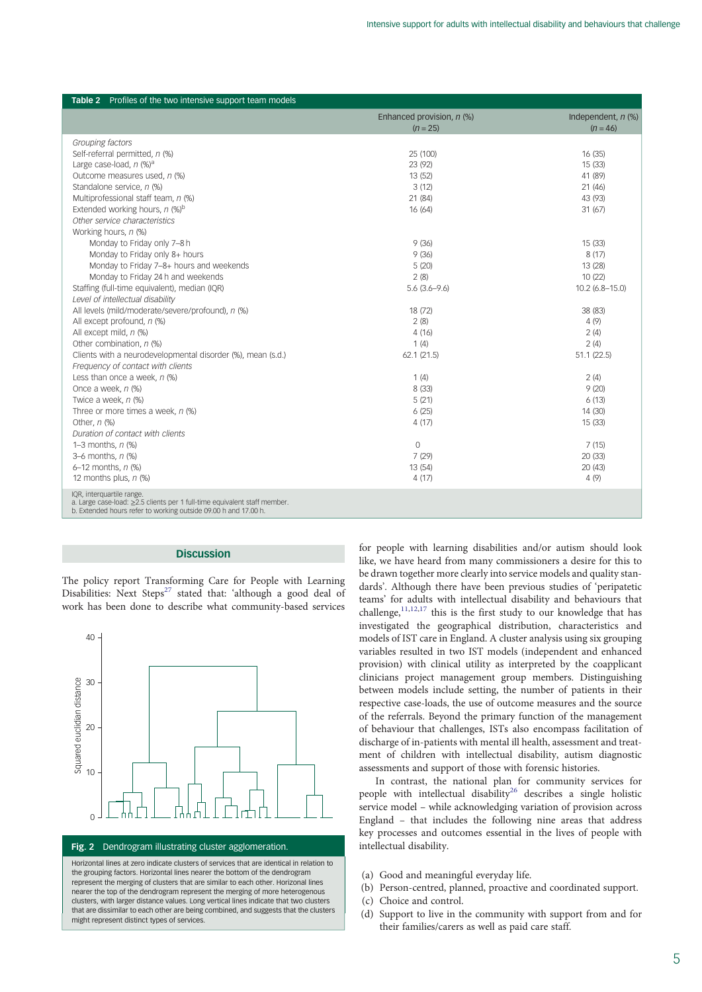<span id="page-4-0"></span>

| <b>Table 2</b> Profiles of the two intensive support team models                                             |                             |                      |
|--------------------------------------------------------------------------------------------------------------|-----------------------------|----------------------|
|                                                                                                              | Enhanced provision, $n$ (%) | Independent, $n$ (%) |
|                                                                                                              | $(n = 25)$                  | $(n = 46)$           |
| Grouping factors                                                                                             |                             |                      |
| Self-referral permitted, n (%)                                                                               | 25 (100)                    | 16(35)               |
| Large case-load, $n$ (%) <sup>a</sup>                                                                        | 23 (92)                     | 15(33)               |
| Outcome measures used, n (%)                                                                                 | 13 (52)                     | 41 (89)              |
| Standalone service, n (%)                                                                                    | 3(12)                       | 21(46)               |
| Multiprofessional staff team, n (%)                                                                          | 21 (84)                     | 43 (93)              |
| Extended working hours, $n$ (%) <sup>b</sup>                                                                 | 16(64)                      | 31(67)               |
| Other service characteristics                                                                                |                             |                      |
| Working hours, n (%)                                                                                         |                             |                      |
| Monday to Friday only 7-8 h                                                                                  | 9(36)                       | 15(33)               |
| Monday to Friday only 8+ hours                                                                               | 9(36)                       | 8(17)                |
| Monday to Friday 7-8+ hours and weekends                                                                     | 5(20)                       | 13 (28)              |
| Monday to Friday 24 h and weekends                                                                           | 2(8)                        | 10(22)               |
| Staffing (full-time equivalent), median (IQR)                                                                | $5.6(3.6 - 9.6)$            | $10.2(6.8 - 15.0)$   |
| Level of intellectual disability                                                                             |                             |                      |
| All levels (mild/moderate/severe/profound), n (%)                                                            | 18 (72)                     | 38 (83)              |
| All except profound, n (%)                                                                                   | 2(8)                        | 4(9)                 |
| All except mild, n (%)                                                                                       | 4(16)                       | 2(4)                 |
| Other combination, n (%)                                                                                     | 1(4)                        | 2(4)                 |
| Clients with a neurodevelopmental disorder (%), mean (s.d.)                                                  | 62.1(21.5)                  | 51.1(22.5)           |
| Frequency of contact with clients                                                                            |                             |                      |
| Less than once a week, $n$ (%)                                                                               | 1(4)                        | 2(4)                 |
| Once a week, n (%)                                                                                           | 8 (33)                      | 9(20)                |
| Twice a week, n (%)                                                                                          | 5(21)                       | 6(13)                |
| Three or more times a week, $n$ (%)                                                                          | 6(25)                       | 14 (30)              |
| Other, $n$ (%)                                                                                               | 4(17)                       | 15(33)               |
| Duration of contact with clients                                                                             |                             |                      |
| 1–3 months, $n$ (%)                                                                                          | $\mathbf{0}$                | 7(15)                |
| $3-6$ months, $n$ (%)                                                                                        | 7(29)                       | 20 (33)              |
| 6-12 months, n (%)                                                                                           | 13 (54)                     | 20(43)               |
| 12 months plus, $n$ (%)                                                                                      | 4(17)                       | 4(9)                 |
| IQR, interquartile range.<br>a. Large case-load: $\geq$ 2.5 clients per 1 full-time equivalent staff member. |                             |                      |

b. Extended hours refer to working outside 09.00 h and 17.00 h.

## **Discussion**

The policy report Transforming Care for People with Learning Disabilities: Next Steps<sup>[27](#page-6-0)</sup> stated that: 'although a good deal of work has been done to describe what community-based services



#### Fig. 2 Dendrogram illustrating cluster agglomeration.

Horizontal lines at zero indicate clusters of services that are identical in relation to the grouping factors. Horizontal lines nearer the bottom of the dendrogram represent the merging of clusters that are similar to each other. Horizonal lines nearer the top of the dendrogram represent the merging of more heterogenous clusters, with larger distance values. Long vertical lines indicate that two clusters that are dissimilar to each other are being combined, and suggests that the clusters might represent distinct types of services.

for people with learning disabilities and/or autism should look like, we have heard from many commissioners a desire for this to be drawn together more clearly into service models and quality standards'. Although there have been previous studies of 'peripatetic teams' for adults with intellectual disability and behaviours that challenge, $11,12,17$  $11,12,17$  $11,12,17$  $11,12,17$  $11,12,17$  this is the first study to our knowledge that has investigated the geographical distribution, characteristics and models of IST care in England. A cluster analysis using six grouping variables resulted in two IST models (independent and enhanced provision) with clinical utility as interpreted by the coapplicant clinicians project management group members. Distinguishing between models include setting, the number of patients in their respective case-loads, the use of outcome measures and the source of the referrals. Beyond the primary function of the management of behaviour that challenges, ISTs also encompass facilitation of discharge of in-patients with mental ill health, assessment and treatment of children with intellectual disability, autism diagnostic assessments and support of those with forensic histories.

In contrast, the national plan for community services for people with intellectual disability<sup>[26](#page-6-0)</sup> describes a single holistic service model – while acknowledging variation of provision across England – that includes the following nine areas that address key processes and outcomes essential in the lives of people with intellectual disability.

- (a) Good and meaningful everyday life.
- (b) Person-centred, planned, proactive and coordinated support.
- (c) Choice and control.
- (d) Support to live in the community with support from and for their families/carers as well as paid care staff.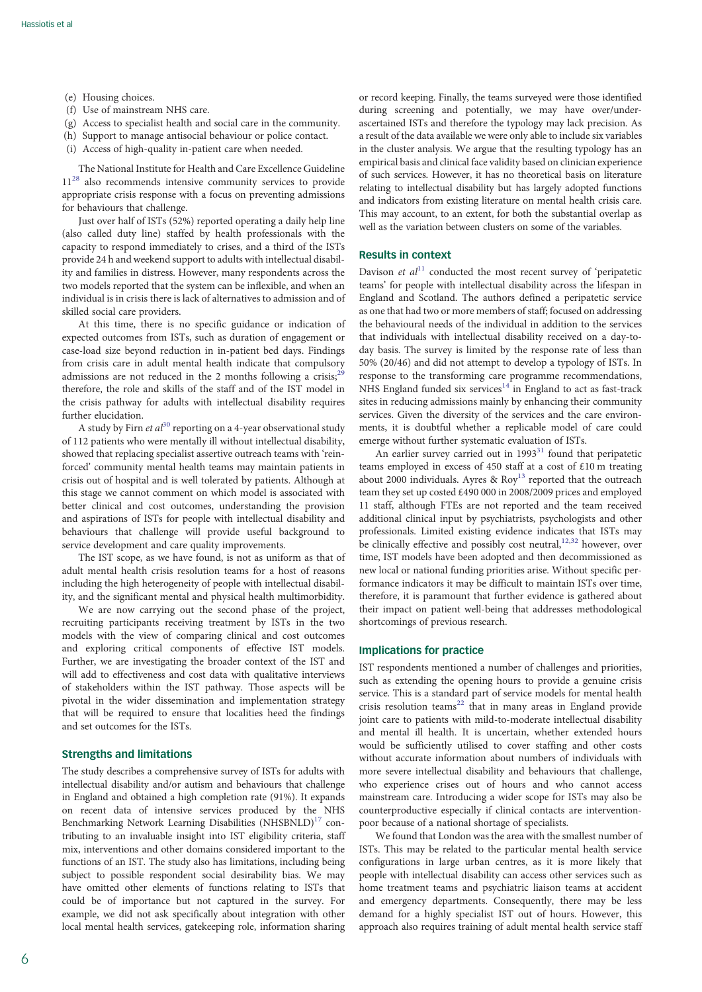- (e) Housing choices.
- (f) Use of mainstream NHS care.
- (g) Access to specialist health and social care in the community.
- (h) Support to manage antisocial behaviour or police contact.
- (i) Access of high-quality in-patient care when needed.

The National Institute for Health and Care Excellence Guideline  $11^{28}$  also recommends intensive community services to provide appropriate crisis response with a focus on preventing admissions for behaviours that challenge.

Just over half of ISTs (52%) reported operating a daily help line (also called duty line) staffed by health professionals with the capacity to respond immediately to crises, and a third of the ISTs provide 24 h and weekend support to adults with intellectual disability and families in distress. However, many respondents across the two models reported that the system can be inflexible, and when an individual is in crisis there is lack of alternatives to admission and of skilled social care providers.

At this time, there is no specific guidance or indication of expected outcomes from ISTs, such as duration of engagement or case-load size beyond reduction in in-patient bed days. Findings from crisis care in adult mental health indicate that compulsory admissions are not reduced in the 2 months following a crisis;<sup>[29](#page-7-0)</sup> therefore, the role and skills of the staff and of the IST model in the crisis pathway for adults with intellectual disability requires further elucidation.

A study by Firn et  $al^{30}$  $al^{30}$  $al^{30}$  reporting on a 4-year observational study of 112 patients who were mentally ill without intellectual disability, showed that replacing specialist assertive outreach teams with 'reinforced' community mental health teams may maintain patients in crisis out of hospital and is well tolerated by patients. Although at this stage we cannot comment on which model is associated with better clinical and cost outcomes, understanding the provision and aspirations of ISTs for people with intellectual disability and behaviours that challenge will provide useful background to service development and care quality improvements.

The IST scope, as we have found, is not as uniform as that of adult mental health crisis resolution teams for a host of reasons including the high heterogeneity of people with intellectual disability, and the significant mental and physical health multimorbidity.

We are now carrying out the second phase of the project, recruiting participants receiving treatment by ISTs in the two models with the view of comparing clinical and cost outcomes and exploring critical components of effective IST models. Further, we are investigating the broader context of the IST and will add to effectiveness and cost data with qualitative interviews of stakeholders within the IST pathway. Those aspects will be pivotal in the wider dissemination and implementation strategy that will be required to ensure that localities heed the findings and set outcomes for the ISTs.

# Strengths and limitations

The study describes a comprehensive survey of ISTs for adults with intellectual disability and/or autism and behaviours that challenge in England and obtained a high completion rate (91%). It expands on recent data of intensive services produced by the NHS Benchmarking Network Learning Disabilities (NHSBNLD)<sup>17</sup> contributing to an invaluable insight into IST eligibility criteria, staff mix, interventions and other domains considered important to the functions of an IST. The study also has limitations, including being subject to possible respondent social desirability bias. We may have omitted other elements of functions relating to ISTs that could be of importance but not captured in the survey. For example, we did not ask specifically about integration with other local mental health services, gatekeeping role, information sharing or record keeping. Finally, the teams surveyed were those identified during screening and potentially, we may have over/underascertained ISTs and therefore the typology may lack precision. As a result of the data available we were only able to include six variables in the cluster analysis. We argue that the resulting typology has an empirical basis and clinical face validity based on clinician experience of such services. However, it has no theoretical basis on literature relating to intellectual disability but has largely adopted functions and indicators from existing literature on mental health crisis care. This may account, to an extent, for both the substantial overlap as well as the variation between clusters on some of the variables.

## Results in context

Davison et  $al<sup>11</sup>$  $al<sup>11</sup>$  $al<sup>11</sup>$  conducted the most recent survey of 'peripatetic teams' for people with intellectual disability across the lifespan in England and Scotland. The authors defined a peripatetic service as one that had two or more members of staff; focused on addressing the behavioural needs of the individual in addition to the services that individuals with intellectual disability received on a day-today basis. The survey is limited by the response rate of less than 50% (20/46) and did not attempt to develop a typology of ISTs. In response to the transforming care programme recommendations, NHS England funded six services<sup>[14](#page-6-0)</sup> in England to act as fast-track sites in reducing admissions mainly by enhancing their community services. Given the diversity of the services and the care environments, it is doubtful whether a replicable model of care could emerge without further systematic evaluation of ISTs.

An earlier survey carried out in  $1993<sup>31</sup>$  found that peripatetic teams employed in excess of 450 staff at a cost of £10 m treating about 2000 individuals. Ayres &  $\text{Rov}^{13}$  reported that the outreach team they set up costed £490 000 in 2008/2009 prices and employed 11 staff, although FTEs are not reported and the team received additional clinical input by psychiatrists, psychologists and other professionals. Limited existing evidence indicates that ISTs may be clinically effective and possibly cost neutral,<sup>[12,](#page-6-0)[32](#page-7-0)</sup> however, over time, IST models have been adopted and then decommissioned as new local or national funding priorities arise. Without specific performance indicators it may be difficult to maintain ISTs over time, therefore, it is paramount that further evidence is gathered about their impact on patient well-being that addresses methodological shortcomings of previous research.

## Implications for practice

IST respondents mentioned a number of challenges and priorities, such as extending the opening hours to provide a genuine crisis service. This is a standard part of service models for mental health crisis resolution teams<sup>22</sup> that in many areas in England provide joint care to patients with mild-to-moderate intellectual disability and mental ill health. It is uncertain, whether extended hours would be sufficiently utilised to cover staffing and other costs without accurate information about numbers of individuals with more severe intellectual disability and behaviours that challenge, who experience crises out of hours and who cannot access mainstream care. Introducing a wider scope for ISTs may also be counterproductive especially if clinical contacts are interventionpoor because of a national shortage of specialists.

We found that London was the area with the smallest number of ISTs. This may be related to the particular mental health service configurations in large urban centres, as it is more likely that people with intellectual disability can access other services such as home treatment teams and psychiatric liaison teams at accident and emergency departments. Consequently, there may be less demand for a highly specialist IST out of hours. However, this approach also requires training of adult mental health service staff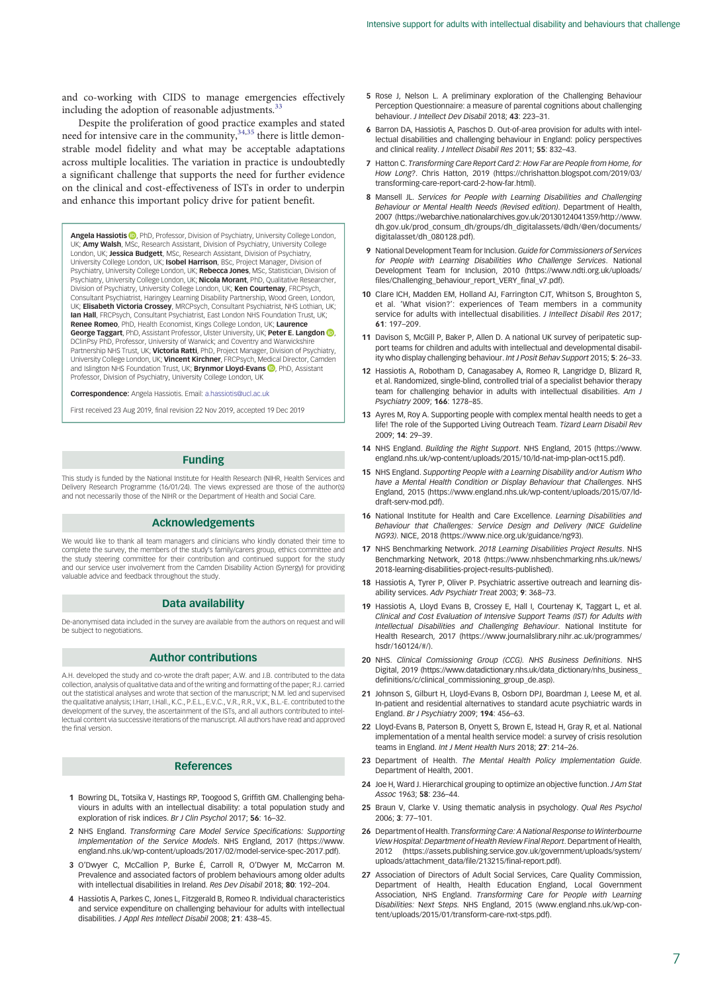<span id="page-6-0"></span>and co-working with CIDS to manage emergencies effectively including the adoption of reasonable adjustments.<sup>[33](#page-7-0)</sup>

Despite the proliferation of good practice examples and stated need for intensive care in the community,<sup>34,35</sup> there is little demonstrable model fidelity and what may be acceptable adaptations across multiple localities. The variation in practice is undoubtedly a significant challenge that supports the need for further evidence on the clinical and cost-effectiveness of ISTs in order to underpin and enhance this important policy drive for patient benefit.

Angela Hassiotis **D**[,](https://orcid.org/0000-0002-9800-3909) PhD, Professor, Division of Psychiatry, University College London, UK; Amy Walsh, MSc, Research Assistant, Division of Psychiatry, University College London, UK; Jessica Budgett, MSc, Research Assistant, Division of Psychiatry, University College London, UK; Isobel Harrison, BSc, Project Manager, Division of Psychiatry, University College London, UK; Rebecca Jones, MSc, Statistician, Division of Psychiatry, University College London, UK; Nicola Morant, PhD, Qualitative Researcher, Division of Psychiatry, University College London, UK; Ken Courtenay, FRCPsych, Consultant Psychiatrist, Haringey Learning Disability Partnership, Wood Green, London, UK; Elisabeth Victoria Crossey, MRCPsych, Consultant Psychiatrist, NHS Lothian, UK; Ian Hall, FRCPsych, Consultant Psychiatrist, East London NHS Foundation Trust, UK; Renee Romeo, PhD, Health Economist, Kings College London, UK; Laurence George Taggart[,](https://orcid.org/0000-0002-7745-1825) PhD, Assistant Professor, Ulster University, UK; Peter E. Langdon (D, DClinPsy PhD, Professor, University of Warwick; and Coventry and Warwickshire Partnership NHS Trust, UK; Victoria Ratti, PhD, Project Manager, Division of Psychiatry, University College London, UK; Vincent Kirchner, FRCPsych, Medical Director, Camden and Islington NHS Foundation Trust, UK; **Brynmor Lloyd-Evans (D**, PhD, Assistant Professor, Division of Psychiatry, University College London, UK

Correspondence: Angela Hassiotis. Email: [a.hassiotis@ucl.ac.uk](mailto:a.hassiotis@ucl.ac.uk)

First received 23 Aug 2019, final revision 22 Nov 2019, accepted 19 Dec 2019

## Funding

This study is funded by the National Institute for Health Research (NIHR, Health Services and Delivery Research Programme (16/01/24). The views expressed are those of the author(s) and not necessarily those of the NIHR or the Department of Health and Social Care.

#### Acknowledgements

We would like to thank all team managers and clinicians who kindly donated their time to complete the survey, the members of the study's family/carers group, ethics committee and the study steering committee for their contribution and continued support for the study and our service user involvement from the Camden Disability Action (Synergy) for providing valuable advice and feedback throughout the study.

## Data availability

De-anonymised data included in the survey are available from the authors on request and will be subject to negotiations.

## Author contributions

A.H. developed the study and co-wrote the draft paper; A.W. and J.B. contributed to the data collection, analysis of qualitative data and of the writing and formatting of the paper; R.J. carried out the statistical analyses and wrote that section of the manuscript; N.M. led and supervised the qualitative analysis; I.Harr, I.Hall., K.C., P.E.L., E.V.C., V.R., R.R., V.K., B.L.-E. contributed to the development of the survey, the ascertainment of the ISTs, and all authors contributed to intellectual content via successive iterations of the manuscript. All authors have read and approved the final version.

## References

- 1 Bowring DL, Totsika V, Hastings RP, Toogood S, Griffith GM. Challenging behaviours in adults with an intellectual disability: a total population study and exploration of risk indices. Br J Clin Psychol 2017; 56: 16–32.
- 2 NHS England. Transforming Care Model Service Specifications: Supporting Implementation of the Service Models. NHS England, 2017 (https://www. england.nhs.uk/wp-content/uploads/2017/02/model-service-spec-2017.pdf).
- 3 O'Dwyer C, McCallion P, Burke É, Carroll R, O'Dwyer M, McCarron M. Prevalence and associated factors of problem behaviours among older adults with intellectual disabilities in Ireland. Res Dev Disabil 2018; 80: 192–204.
- 4 Hassiotis A, Parkes C, Jones L, Fitzgerald B, Romeo R. Individual characteristics and service expenditure on challenging behaviour for adults with intellectual disabilities. J Appl Res Intellect Disabil 2008; 21: 438–45.
- 5 Rose J, Nelson L. A preliminary exploration of the Challenging Behaviour Perception Questionnaire: a measure of parental cognitions about challenging behaviour. J Intellect Dev Disabil 2018; 43: 223–31.
- 6 Barron DA, Hassiotis A, Paschos D. Out-of-area provision for adults with intellectual disabilities and challenging behaviour in England: policy perspectives and clinical reality. J Intellect Disabil Res 2011; 55: 832–43.
- 7 Hatton C. Transforming Care Report Card 2: How Far are People from Home, for How Long?. Chris Hatton, 2019 (https://chrishatton.blogspot.com/2019/03/ transforming-care-report-card-2-how-far.html).
- 8 Mansell JL. Services for People with Learning Disabilities and Challenging Behaviour or Mental Health Needs (Revised edition). Department of Health, 2007 (https://webarchive.nationalarchives.gov.uk/20130124041359/http://www. dh.gov.uk/prod\_consum\_dh/groups/dh\_digitalassets/@dh/@en/documents/ digitalasset/dh\_080128.pdf).
- 9 National Development Team for Inclusion. Guide for Commissioners of Services for People with Learning Disabilities Who Challenge Services. National Development Team for Inclusion, 2010 (https://www.ndti.org.uk/uploads/ files/Challenging\_behaviour\_report\_VERY\_final\_v7.pdf).
- 10 Clare ICH, Madden EM, Holland AJ, Farrington CJT, Whitson S, Broughton S, et al. 'What vision?': experiences of Team members in a community service for adults with intellectual disabilities. J Intellect Disabil Res 2017; 61: 197–209.
- 11 Davison S, McGill P, Baker P, Allen D. A national UK survey of peripatetic support teams for children and adults with intellectual and developmental disability who display challenging behaviour. Int J Posit Behav Support 2015; 5: 26–33.
- 12 Hassiotis A, Robotham D, Canagasabey A, Romeo R, Langridge D, Blizard R, et al. Randomized, single-blind, controlled trial of a specialist behavior therapy team for challenging behavior in adults with intellectual disabilities. Am J Psychiatry 2009; 166: 1278–85.
- 13 Ayres M, Roy A. Supporting people with complex mental health needs to get a life! The role of the Supported Living Outreach Team. Tizard Learn Disabil Rev 2009; 14: 29–39.
- 14 NHS England. Building the Right Support. NHS England, 2015 (https://www. england.nhs.uk/wp-content/uploads/2015/10/ld-nat-imp-plan-oct15.pdf).
- 15 NHS England. Supporting People with a Learning Disability and/or Autism Who have a Mental Health Condition or Display Behaviour that Challenges. NHS England, 2015 (https://www.england.nhs.uk/wp-content/uploads/2015/07/lddraft-serv-mod.pdf).
- 16 National Institute for Health and Care Excellence. Learning Disabilities and Behaviour that Challenges: Service Design and Delivery (NICE Guideline NG93). NICE, 2018 (https://www.nice.org.uk/guidance/ng93).
- 17 NHS Benchmarking Network. 2018 Learning Disabilities Project Results. NHS Benchmarking Network, 2018 (https://www.nhsbenchmarking.nhs.uk/news/ 2018-learning-disabilities-project-results-published).
- 18 Hassiotis A, Tyrer P, Oliver P. Psychiatric assertive outreach and learning disability services. Adv Psychiatr Treat 2003; 9: 368–73.
- 19 Hassiotis A, Lloyd Evans B, Crossey E, Hall I, Courtenay K, Taggart L, et al. Clinical and Cost Evaluation of Intensive Support Teams (IST) for Adults with Intellectual Disabilities and Challenging Behaviour. National Institute for Health Research, 2017 (https://www.journalslibrary.nihr.ac.uk/programmes/ hsdr/160124/#/).
- 20 NHS. Clinical Comissioning Group (CCG). NHS Business Definitions. NHS Digital, 2019 (https://www.datadictionary.nhs.uk/data\_dictionary/nhs\_business\_ definitions/c/clinical\_commissioning\_group\_de.asp).
- 21 Johnson S, Gilburt H, Lloyd-Evans B, Osborn DPJ, Boardman J, Leese M, et al. In-patient and residential alternatives to standard acute psychiatric wards in England. Br J Psychiatry 2009; 194: 456–63.
- 22 Lloyd-Evans B, Paterson B, Onyett S, Brown E, Istead H, Gray R, et al. National implementation of a mental health service model: a survey of crisis resolution teams in England. Int J Ment Health Nurs 2018; 27: 214–26.
- 23 Department of Health. The Mental Health Policy Implementation Guide. Department of Health, 2001.
- 24 Joe H, Ward J. Hierarchical grouping to optimize an objective function. *J Am Stat* Assoc 1963; 58: 236–44.
- 25 Braun V, Clarke V, Using thematic analysis in psychology. *Qual Res Psychol* 2006; 3: 77–101.
- 26 Department of Health. Transforming Care: A National Response to Winterbourne View Hospital: Department of Health Review Final Report. Department of Health, 2012 (https://assets.publishing.service.gov.uk/government/uploads/system/ uploads/attachment\_data/file/213215/final-report.pdf).
- 27 Association of Directors of Adult Social Services, Care Quality Commission, Department of Health, Health Education England, Local Government Association, NHS England. Transforming Care for People with Learning Disabilities: Next Steps. NHS England, 2015 (www.england.nhs.uk/wp-content/uploads/2015/01/transform-care-nxt-stps.pdf).